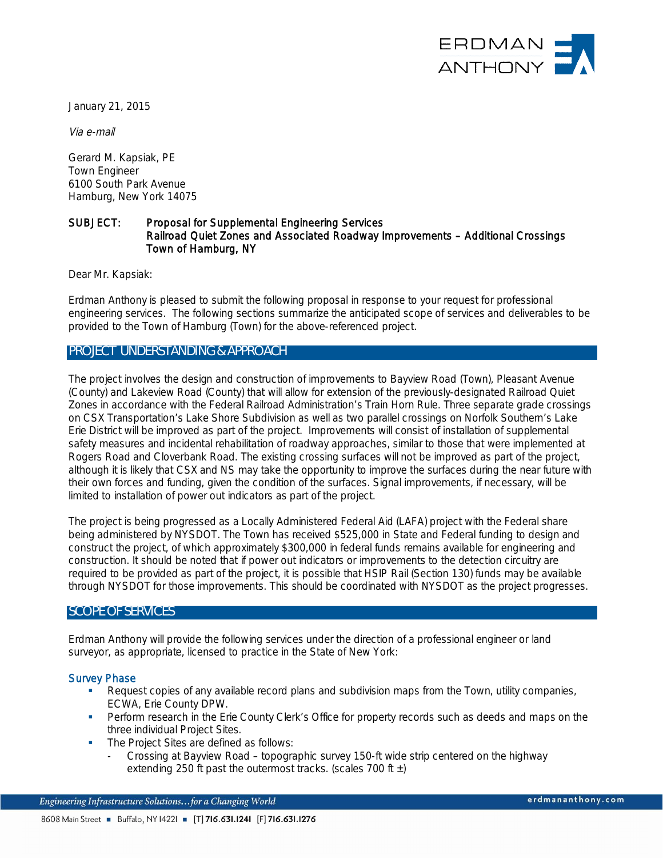

January 21, 2015

Via e-mail

Gerard M. Kapsiak, PE Town Engineer 6100 South Park Avenue Hamburg, New York 14075

#### SUBJECT: Proposal for Supplemental Engineering Services Railroad Quiet Zones and Associated Roadway Improvements – Additional Crossings Town of Hamburg, NY

Dear Mr. Kapsiak:

Erdman Anthony is pleased to submit the following proposal in response to your request for professional engineering services. The following sections summarize the anticipated scope of services and deliverables to be provided to the Town of Hamburg (Town) for the above-referenced project.

#### **PROJECT UNDERSTANDING & APPROACH**

The project involves the design and construction of improvements to Bayview Road (Town), Pleasant Avenue (County) and Lakeview Road (County) that will allow for extension of the previously-designated Railroad Quiet Zones in accordance with the Federal Railroad Administration's Train Horn Rule. Three separate grade crossings on CSX Transportation's Lake Shore Subdivision as well as two parallel crossings on Norfolk Southern's Lake Erie District will be improved as part of the project. Improvements will consist of installation of supplemental safety measures and incidental rehabilitation of roadway approaches, similar to those that were implemented at Rogers Road and Cloverbank Road. The existing crossing surfaces will not be improved as part of the project, although it is likely that CSX and NS may take the opportunity to improve the surfaces during the near future with their own forces and funding, given the condition of the surfaces. Signal improvements, if necessary, will be limited to installation of power out indicators as part of the project.

The project is being progressed as a Locally Administered Federal Aid (LAFA) project with the Federal share being administered by NYSDOT. The Town has received \$525,000 in State and Federal funding to design and construct the project, of which approximately \$300,000 in federal funds remains available for engineering and construction. It should be noted that if power out indicators or improvements to the detection circuitry are required to be provided as part of the project, it is possible that HSIP Rail (Section 130) funds may be available through NYSDOT for those improvements. This should be coordinated with NYSDOT as the project progresses.

#### **SCOPE OF SERVICES**

Erdman Anthony will provide the following services under the direction of a professional engineer or land surveyor, as appropriate, licensed to practice in the State of New York:

#### Survey Phase

- Request copies of any available record plans and subdivision maps from the Town, utility companies, ECWA, Erie County DPW.
- **•** Perform research in the Erie County Clerk's Office for property records such as deeds and maps on the three individual Project Sites.
- **The Project Sites are defined as follows:** 
	- Crossing at Bayview Road topographic survey 150-ft wide strip centered on the highway extending 250 ft past the outermost tracks. (scales 700 ft  $\pm$ )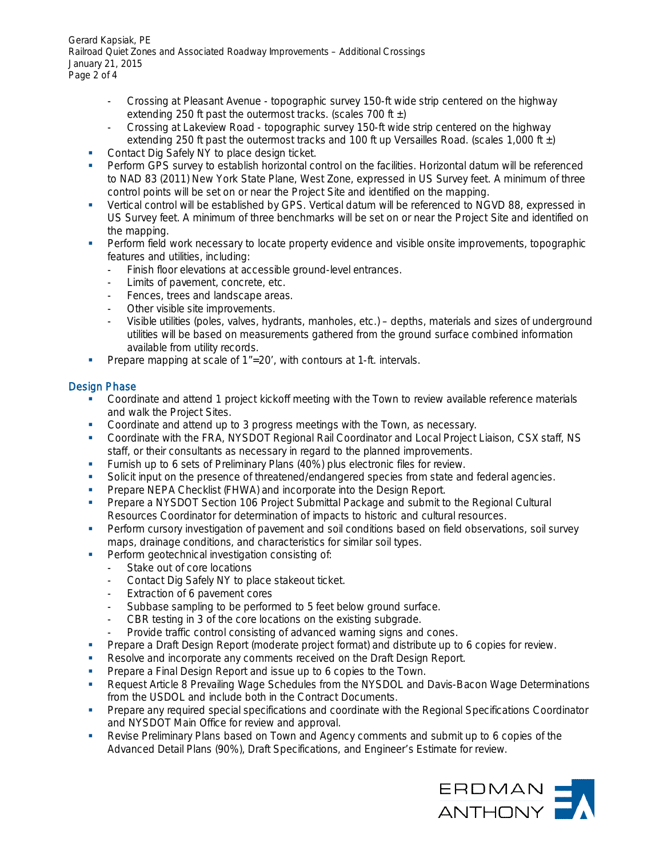Gerard Kapsiak, PE Railroad Quiet Zones and Associated Roadway Improvements – Additional Crossings January 21, 2015 Page 2 of 4

- Crossing at Pleasant Avenue topographic survey 150-ft wide strip centered on the highway extending 250 ft past the outermost tracks. (scales 700 ft  $\pm$ )
- Crossing at Lakeview Road topographic survey 150-ft wide strip centered on the highway extending 250 ft past the outermost tracks and 100 ft up Versailles Road. (scales 1,000 ft  $\pm$ )
- Contact Dig Safely NY to place design ticket.
- Perform GPS survey to establish horizontal control on the facilities. Horizontal datum will be referenced to NAD 83 (2011) New York State Plane, West Zone, expressed in US Survey feet. A minimum of three control points will be set on or near the Project Site and identified on the mapping.
- § Vertical control will be established by GPS. Vertical datum will be referenced to NGVD 88, expressed in US Survey feet. A minimum of three benchmarks will be set on or near the Project Site and identified on the mapping.
- Perform field work necessary to locate property evidence and visible onsite improvements, topographic features and utilities, including:
	- Finish floor elevations at accessible ground-level entrances.
	- Limits of pavement, concrete, etc.
	- Fences, trees and landscape areas.
	- Other visible site improvements.
	- Visible utilities (poles, valves, hydrants, manholes, etc.) depths, materials and sizes of underground utilities will be based on measurements gathered from the ground surface combined information available from utility records.
- Prepare mapping at scale of 1"=20', with contours at 1-ft. intervals.

### Design Phase

- § Coordinate and attend 1 project kickoff meeting with the Town to review available reference materials and walk the Project Sites.
- § Coordinate and attend up to 3 progress meetings with the Town, as necessary.
- § Coordinate with the FRA, NYSDOT Regional Rail Coordinator and Local Project Liaison, CSX staff, NS staff, or their consultants as necessary in regard to the planned improvements.
- **Furnish up to 6 sets of Preliminary Plans (40%) plus electronic files for review.**
- § Solicit input on the presence of threatened/endangered species from state and federal agencies.
- **Prepare NEPA Checklist (FHWA) and incorporate into the Design Report.**
- Prepare a NYSDOT Section 106 Project Submittal Package and submit to the Regional Cultural Resources Coordinator for determination of impacts to historic and cultural resources.
- Perform cursory investigation of pavement and soil conditions based on field observations, soil survey maps, drainage conditions, and characteristics for similar soil types.
- Perform geotechnical investigation consisting of:
	- Stake out of core locations
	- Contact Dig Safely NY to place stakeout ticket.
	- Extraction of 6 pavement cores
	- Subbase sampling to be performed to 5 feet below ground surface.
	- CBR testing in 3 of the core locations on the existing subgrade.
	- Provide traffic control consisting of advanced warning signs and cones.
- § Prepare a Draft Design Report (moderate project format) and distribute up to 6 copies for review.
- Resolve and incorporate any comments received on the Draft Design Report.
- Prepare a Final Design Report and issue up to 6 copies to the Town.
- Request Article 8 Prevailing Wage Schedules from the NYSDOL and Davis-Bacon Wage Determinations from the USDOL and include both in the Contract Documents.
- Prepare any required special specifications and coordinate with the Regional Specifications Coordinator and NYSDOT Main Office for review and approval.
- Revise Preliminary Plans based on Town and Agency comments and submit up to 6 copies of the Advanced Detail Plans (90%), Draft Specifications, and Engineer's Estimate for review.

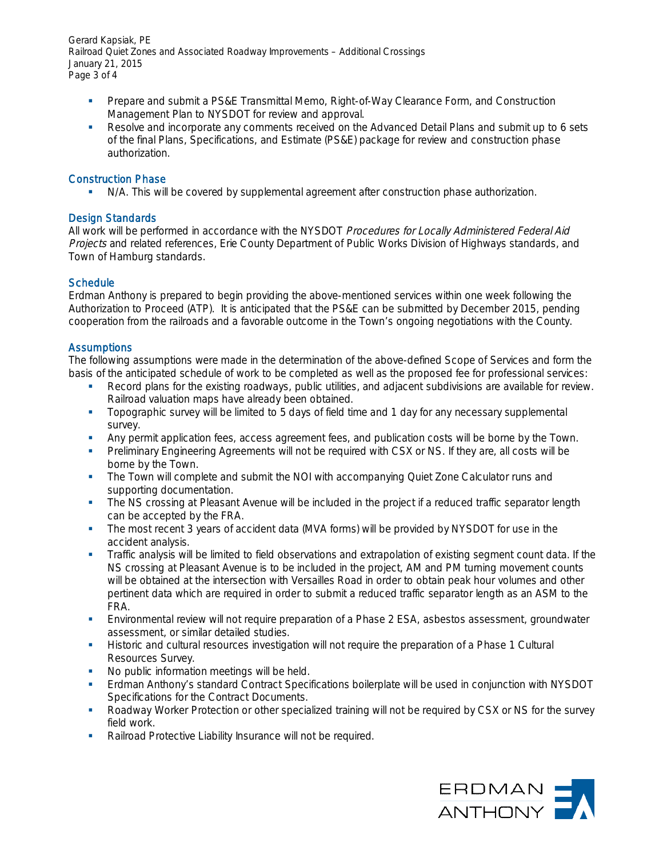Gerard Kapsiak, PE Railroad Quiet Zones and Associated Roadway Improvements – Additional Crossings January 21, 2015 Page 3 of 4

- § Prepare and submit a PS&E Transmittal Memo, Right-of-Way Clearance Form, and Construction Management Plan to NYSDOT for review and approval.
- Resolve and incorporate any comments received on the Advanced Detail Plans and submit up to 6 sets of the final Plans, Specifications, and Estimate (PS&E) package for review and construction phase authorization.

#### Construction Phase

N/A. This will be covered by supplemental agreement after construction phase authorization.

#### Design Standards

All work will be performed in accordance with the NYSDOT Procedures for Locally Administered Federal Aid Projects and related references, Erie County Department of Public Works Division of Highways standards, and Town of Hamburg standards.

#### **Schedule**

Erdman Anthony is prepared to begin providing the above-mentioned services within one week following the Authorization to Proceed (ATP). It is anticipated that the PS&E can be submitted by December 2015, pending cooperation from the railroads and a favorable outcome in the Town's ongoing negotiations with the County.

#### **Assumptions**

The following assumptions were made in the determination of the above-defined Scope of Services and form the basis of the anticipated schedule of work to be completed as well as the proposed fee for professional services:

- Record plans for the existing roadways, public utilities, and adjacent subdivisions are available for review. Railroad valuation maps have already been obtained.
- § Topographic survey will be limited to 5 days of field time and 1 day for any necessary supplemental survey.
- Any permit application fees, access agreement fees, and publication costs will be borne by the Town.
- Preliminary Engineering Agreements will not be required with CSX or NS. If they are, all costs will be borne by the Town.
- The Town will complete and submit the NOI with accompanying Quiet Zone Calculator runs and supporting documentation.
- The NS crossing at Pleasant Avenue will be included in the project if a reduced traffic separator length can be accepted by the FRA.
- The most recent 3 years of accident data (MVA forms) will be provided by NYSDOT for use in the accident analysis.
- Traffic analysis will be limited to field observations and extrapolation of existing segment count data. If the NS crossing at Pleasant Avenue is to be included in the project, AM and PM turning movement counts will be obtained at the intersection with Versailles Road in order to obtain peak hour volumes and other pertinent data which are required in order to submit a reduced traffic separator length as an ASM to the FRA.
- **Environmental review will not require preparation of a Phase 2 ESA, asbestos assessment, groundwater** assessment, or similar detailed studies.
- **■** Historic and cultural resources investigation will not require the preparation of a Phase 1 Cultural Resources Survey.
- No public information meetings will be held.
- § Erdman Anthony's standard Contract Specifications boilerplate will be used in conjunction with NYSDOT Specifications for the Contract Documents.
- § Roadway Worker Protection or other specialized training will not be required by CSX or NS for the survey field work.
- Railroad Protective Liability Insurance will not be required.

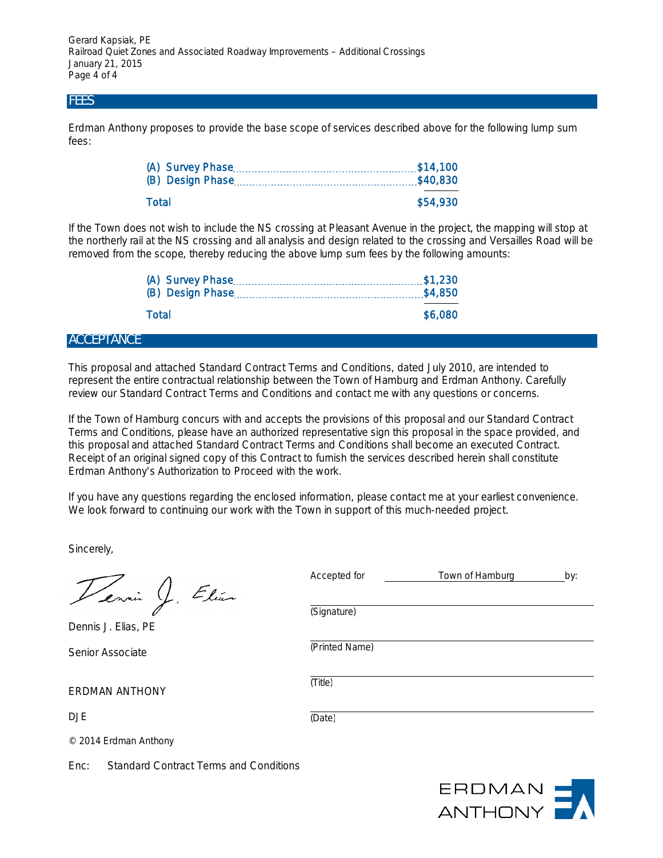Gerard Kapsiak, PE Railroad Quiet Zones and Associated Roadway Improvements – Additional Crossings January 21, 2015 Page 4 of 4

### **FEES**

Erdman Anthony proposes to provide the base scope of services described above for the following lump sum fees:

|       | \$40,830 |
|-------|----------|
| Total | \$54,930 |

If the Town does not wish to include the NS crossing at Pleasant Avenue in the project, the mapping will stop at the northerly rail at the NS crossing and all analysis and design related to the crossing and Versailles Road will be removed from the scope, thereby reducing the above lump sum fees by the following amounts:

| Total | \$6,080 |
|-------|---------|
|       |         |

#### **ACCEPTANCE**

This proposal and attached Standard Contract Terms and Conditions, dated July 2010, are intended to represent the entire contractual relationship between the Town of Hamburg and Erdman Anthony. Carefully review our Standard Contract Terms and Conditions and contact me with any questions or concerns.

If the Town of Hamburg concurs with and accepts the provisions of this proposal and our Standard Contract Terms and Conditions, please have an authorized representative sign this proposal in the space provided, and this proposal and attached Standard Contract Terms and Conditions shall become an executed Contract. Receipt of an original signed copy of this Contract to furnish the services described herein shall constitute Erdman Anthony's Authorization to Proceed with the work.

If you have any questions regarding the enclosed information, please contact me at your earliest convenience. We look forward to continuing our work with the Town in support of this much-needed project.

Sincerely,

Vennis J. Elian

Dennis J. Elias, PE

Senior Associate

ERDMAN ANTHONY

DJE

(Signature) (Printed Name)

Accepted for Town of Hamburg by:

(Title)

(Date)

© 2014 Erdman Anthony

Enc: Standard Contract Terms and Conditions

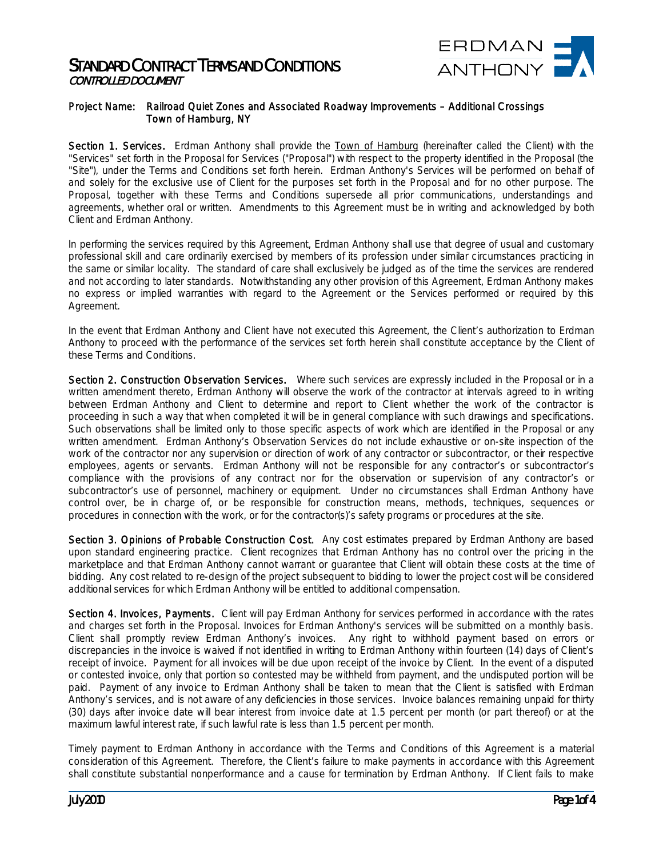

#### Project Name: Railroad Quiet Zones and Associated Roadway Improvements – Additional Crossings Town of Hamburg, NY

Section 1. Services. Erdman Anthony shall provide the Town of Hamburg (hereinafter called the Client) with the "Services" set forth in the Proposal for Services ("Proposal") with respect to the property identified in the Proposal (the "Site"), under the Terms and Conditions set forth herein. Erdman Anthony's Services will be performed on behalf of and solely for the exclusive use of Client for the purposes set forth in the Proposal and for no other purpose. The Proposal, together with these Terms and Conditions supersede all prior communications, understandings and agreements, whether oral or written. Amendments to this Agreement must be in writing and acknowledged by both Client and Erdman Anthony.

In performing the services required by this Agreement, Erdman Anthony shall use that degree of usual and customary professional skill and care ordinarily exercised by members of its profession under similar circumstances practicing in the same or similar locality. The standard of care shall exclusively be judged as of the time the services are rendered and not according to later standards. Notwithstanding any other provision of this Agreement, Erdman Anthony makes no express or implied warranties with regard to the Agreement or the Services performed or required by this Agreement.

In the event that Erdman Anthony and Client have not executed this Agreement, the Client's authorization to Erdman Anthony to proceed with the performance of the services set forth herein shall constitute acceptance by the Client of these Terms and Conditions.

Section 2. Construction Observation Services. Where such services are expressly included in the Proposal or in a written amendment thereto, Erdman Anthony will observe the work of the contractor at intervals agreed to in writing between Erdman Anthony and Client to determine and report to Client whether the work of the contractor is proceeding in such a way that when completed it will be in general compliance with such drawings and specifications. Such observations shall be limited only to those specific aspects of work which are identified in the Proposal or any written amendment. Erdman Anthony's Observation Services do not include exhaustive or on-site inspection of the work of the contractor nor any supervision or direction of work of any contractor or subcontractor, or their respective employees, agents or servants. Erdman Anthony will not be responsible for any contractor's or subcontractor's compliance with the provisions of any contract nor for the observation or supervision of any contractor's or subcontractor's use of personnel, machinery or equipment. Under no circumstances shall Erdman Anthony have control over, be in charge of, or be responsible for construction means, methods, techniques, sequences or procedures in connection with the work, or for the contractor(s)'s safety programs or procedures at the site.

Section 3. Opinions of Probable Construction Cost. Any cost estimates prepared by Erdman Anthony are based upon standard engineering practice. Client recognizes that Erdman Anthony has no control over the pricing in the marketplace and that Erdman Anthony cannot warrant or guarantee that Client will obtain these costs at the time of bidding. Any cost related to re-design of the project subsequent to bidding to lower the project cost will be considered additional services for which Erdman Anthony will be entitled to additional compensation.

Section 4. Invoices, Payments. Client will pay Erdman Anthony for services performed in accordance with the rates and charges set forth in the Proposal. Invoices for Erdman Anthony's services will be submitted on a monthly basis. Client shall promptly review Erdman Anthony's invoices. Any right to withhold payment based on errors or discrepancies in the invoice is waived if not identified in writing to Erdman Anthony within fourteen (14) days of Client's receipt of invoice. Payment for all invoices will be due upon receipt of the invoice by Client. In the event of a disputed or contested invoice, only that portion so contested may be withheld from payment, and the undisputed portion will be paid. Payment of any invoice to Erdman Anthony shall be taken to mean that the Client is satisfied with Erdman Anthony's services, and is not aware of any deficiencies in those services. Invoice balances remaining unpaid for thirty (30) days after invoice date will bear interest from invoice date at 1.5 percent per month (or part thereof) or at the maximum lawful interest rate, if such lawful rate is less than 1.5 percent per month.

Timely payment to Erdman Anthony in accordance with the Terms and Conditions of this Agreement is a material consideration of this Agreement. Therefore, the Client's failure to make payments in accordance with this Agreement shall constitute substantial nonperformance and a cause for termination by Erdman Anthony. If Client fails to make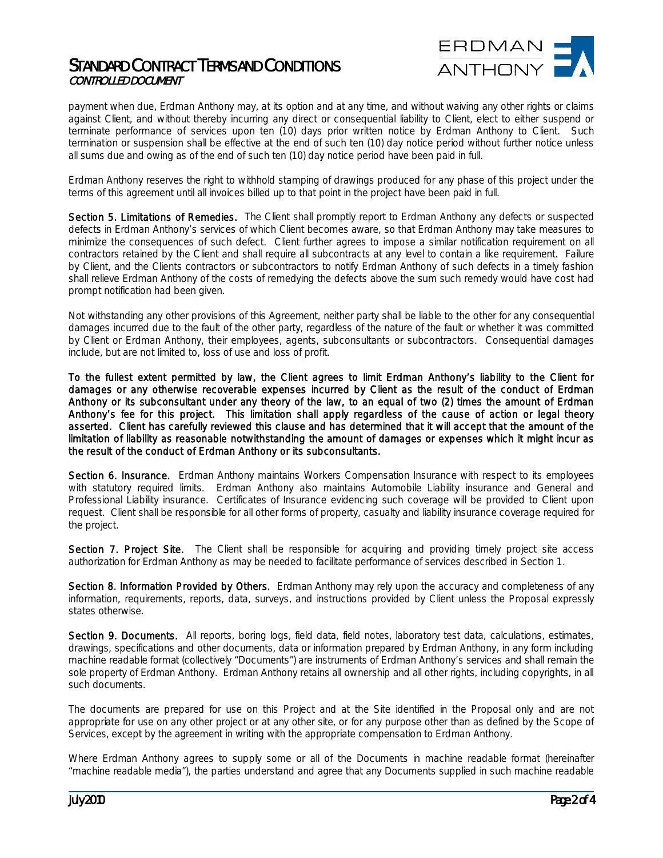

payment when due, Erdman Anthony may, at its option and at any time, and without waiving any other rights or claims against Client, and without thereby incurring any direct or consequential liability to Client, elect to either suspend or terminate performance of services upon ten (10) days prior written notice by Erdman Anthony to Client. Such termination or suspension shall be effective at the end of such ten (10) day notice period without further notice unless all sums due and owing as of the end of such ten (10) day notice period have been paid in full.

Erdman Anthony reserves the right to withhold stamping of drawings produced for any phase of this project under the terms of this agreement until all invoices billed up to that point in the project have been paid in full.

Section 5. Limitations of Remedies. The Client shall promptly report to Erdman Anthony any defects or suspected defects in Erdman Anthony's services of which Client becomes aware, so that Erdman Anthony may take measures to minimize the consequences of such defect. Client further agrees to impose a similar notification requirement on all contractors retained by the Client and shall require all subcontracts at any level to contain a like requirement. Failure by Client, and the Clients contractors or subcontractors to notify Erdman Anthony of such defects in a timely fashion shall relieve Erdman Anthony of the costs of remedying the defects above the sum such remedy would have cost had prompt notification had been given.

Not withstanding any other provisions of this Agreement, neither party shall be liable to the other for any consequential damages incurred due to the fault of the other party, regardless of the nature of the fault or whether it was committed by Client or Erdman Anthony, their employees, agents, subconsultants or subcontractors. Consequential damages include, but are not limited to, loss of use and loss of profit.

To the fullest extent permitted by law, the Client agrees to limit Erdman Anthony's liability to the Client for damages or any otherwise recoverable expenses incurred by Client as the result of the conduct of Erdman Anthony or its subconsultant under any theory of the law, to an equal of two (2) times the amount of Erdman Anthony's fee for this project. This limitation shall apply regardless of the cause of action or legal theory asserted. Client has carefully reviewed this clause and has determined that it will accept that the amount of the limitation of liability as reasonable notwithstanding the amount of damages or expenses which it might incur as the result of the conduct of Erdman Anthony or its subconsultants.

Section 6. Insurance. Erdman Anthony maintains Workers Compensation Insurance with respect to its employees with statutory required limits. Erdman Anthony also maintains Automobile Liability insurance and General and Professional Liability insurance. Certificates of Insurance evidencing such coverage will be provided to Client upon request. Client shall be responsible for all other forms of property, casualty and liability insurance coverage required for the project.

Section 7. Project Site. The Client shall be responsible for acquiring and providing timely project site access authorization for Erdman Anthony as may be needed to facilitate performance of services described in Section 1.

Section 8. Information Provided by Others. Erdman Anthony may rely upon the accuracy and completeness of any information, requirements, reports, data, surveys, and instructions provided by Client unless the Proposal expressly states otherwise.

Section 9. Documents. All reports, boring logs, field data, field notes, laboratory test data, calculations, estimates, drawings, specifications and other documents, data or information prepared by Erdman Anthony, in any form including machine readable format (collectively "Documents") are instruments of Erdman Anthony's services and shall remain the sole property of Erdman Anthony. Erdman Anthony retains all ownership and all other rights, including copyrights, in all such documents.

The documents are prepared for use on this Project and at the Site identified in the Proposal only and are not appropriate for use on any other project or at any other site, or for any purpose other than as defined by the Scope of Services, except by the agreement in writing with the appropriate compensation to Erdman Anthony.

Where Erdman Anthony agrees to supply some or all of the Documents in machine readable format (hereinafter "machine readable media"), the parties understand and agree that any Documents supplied in such machine readable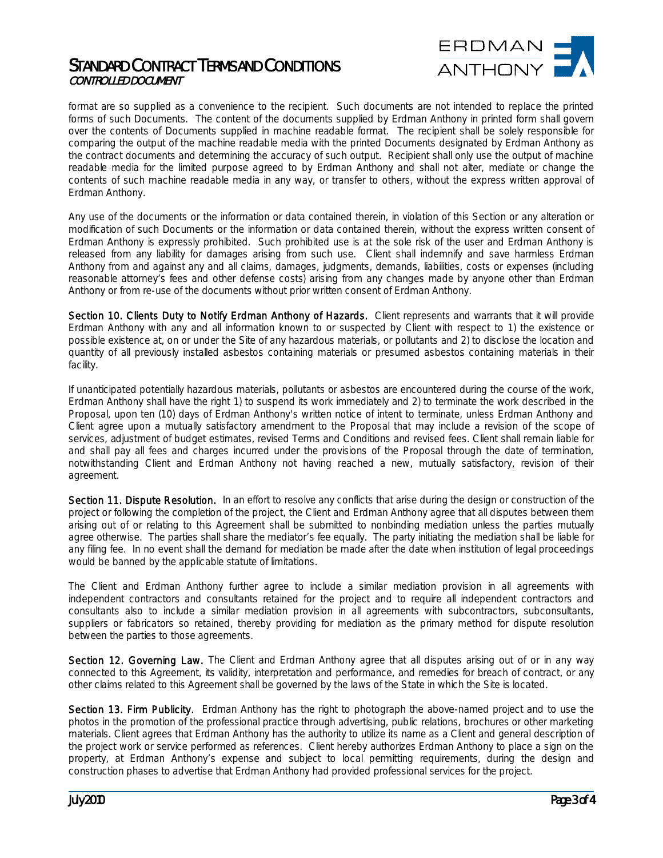

format are so supplied as a convenience to the recipient. Such documents are not intended to replace the printed forms of such Documents. The content of the documents supplied by Erdman Anthony in printed form shall govern over the contents of Documents supplied in machine readable format. The recipient shall be solely responsible for comparing the output of the machine readable media with the printed Documents designated by Erdman Anthony as the contract documents and determining the accuracy of such output. Recipient shall only use the output of machine readable media for the limited purpose agreed to by Erdman Anthony and shall not alter, mediate or change the contents of such machine readable media in any way, or transfer to others, without the express written approval of Erdman Anthony.

Any use of the documents or the information or data contained therein, in violation of this Section or any alteration or modification of such Documents or the information or data contained therein, without the express written consent of Erdman Anthony is expressly prohibited. Such prohibited use is at the sole risk of the user and Erdman Anthony is released from any liability for damages arising from such use. Client shall indemnify and save harmless Erdman Anthony from and against any and all claims, damages, judgments, demands, liabilities, costs or expenses (including reasonable attorney's fees and other defense costs) arising from any changes made by anyone other than Erdman Anthony or from re-use of the documents without prior written consent of Erdman Anthony.

Section 10. Clients Duty to Notify Erdman Anthony of Hazards. Client represents and warrants that it will provide Erdman Anthony with any and all information known to or suspected by Client with respect to 1) the existence or possible existence at, on or under the Site of any hazardous materials, or pollutants and 2) to disclose the location and quantity of all previously installed asbestos containing materials or presumed asbestos containing materials in their facility.

If unanticipated potentially hazardous materials, pollutants or asbestos are encountered during the course of the work, Erdman Anthony shall have the right 1) to suspend its work immediately and 2) to terminate the work described in the Proposal, upon ten (10) days of Erdman Anthony's written notice of intent to terminate, unless Erdman Anthony and Client agree upon a mutually satisfactory amendment to the Proposal that may include a revision of the scope of services, adjustment of budget estimates, revised Terms and Conditions and revised fees. Client shall remain liable for and shall pay all fees and charges incurred under the provisions of the Proposal through the date of termination, notwithstanding Client and Erdman Anthony not having reached a new, mutually satisfactory, revision of their agreement.

Section 11. Dispute Resolution. In an effort to resolve any conflicts that arise during the design or construction of the project or following the completion of the project, the Client and Erdman Anthony agree that all disputes between them arising out of or relating to this Agreement shall be submitted to nonbinding mediation unless the parties mutually agree otherwise. The parties shall share the mediator's fee equally. The party initiating the mediation shall be liable for any filing fee. In no event shall the demand for mediation be made after the date when institution of legal proceedings would be banned by the applicable statute of limitations.

The Client and Erdman Anthony further agree to include a similar mediation provision in all agreements with independent contractors and consultants retained for the project and to require all independent contractors and consultants also to include a similar mediation provision in all agreements with subcontractors, subconsultants, suppliers or fabricators so retained, thereby providing for mediation as the primary method for dispute resolution between the parties to those agreements.

Section 12. Governing Law. The Client and Erdman Anthony agree that all disputes arising out of or in any way connected to this Agreement, its validity, interpretation and performance, and remedies for breach of contract, or any other claims related to this Agreement shall be governed by the laws of the State in which the Site is located.

Section 13. Firm Publicity. Erdman Anthony has the right to photograph the above-named project and to use the photos in the promotion of the professional practice through advertising, public relations, brochures or other marketing materials. Client agrees that Erdman Anthony has the authority to utilize its name as a Client and general description of the project work or service performed as references. Client hereby authorizes Erdman Anthony to place a sign on the property, at Erdman Anthony's expense and subject to local permitting requirements, during the design and construction phases to advertise that Erdman Anthony had provided professional services for the project.